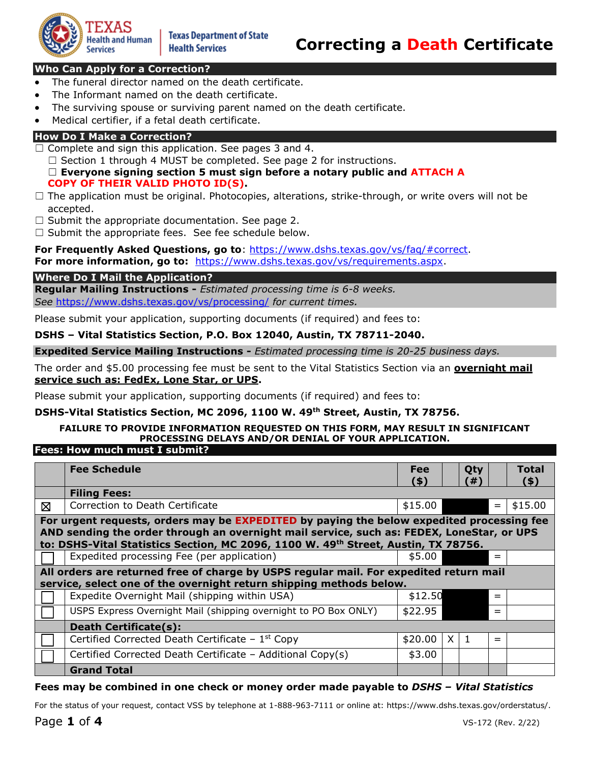

# **Who Can Apply for a Correction?**

- The funeral director named on the death certificate.
- The Informant named on the death certificate.
- The surviving spouse or surviving parent named on the death certificate.
- Medical certifier, if a fetal death certificate.

# **How Do I Make a Correction?**

- $\Box$  Complete and sign this application. See pages 3 and 4.
	- $\Box$  Section 1 through 4 MUST be completed. See page 2 for instructions.
	- ☐ **Everyone signing section 5 must sign before a notary public and ATTACH A COPY OF THEIR VALID PHOTO ID(S).**
- $\Box$  The application must be original. Photocopies, alterations, strike-through, or write overs will not be accepted.
- $\Box$  Submit the appropriate documentation. See page 2.
- $\Box$  Submit the appropriate fees. See fee schedule below.

**For Frequently Asked Questions, go to**: [https://www.dshs.texas.gov/vs/faq/#correct.](https://www.dshs.texas.gov/vs/faq/#correct)

**For more information, go to:** [https://www.dshs.texas.gov/vs/requirements.aspx.](https://www.dshs.texas.gov/vs/requirements.aspx)

# **Where Do I Mail the Application?**

**Regular Mailing Instructions -** *Estimated processing time is 6-8 weeks. See* <https://www.dshs.texas.gov/vs/processing/>*for current times.* 

Please submit your application, supporting documents (if required) and fees to:

# **DSHS – Vital Statistics Section, P.O. Box 12040, Austin, TX 78711-2040.**

**Expedited Service Mailing Instructions -** *Estimated processing time is 20-25 business days.* 

The order and \$5.00 processing fee must be sent to the Vital Statistics Section via an **overnight mail service such as: FedEx, Lone Star, or UPS.** 

Please submit your application, supporting documents (if required) and fees to:

# **DSHS-Vital Statistics Section, MC 2096, 1100 W. 49th Street, Austin, TX 78756.**

# **FAILURE TO PROVIDE INFORMATION REQUESTED ON THIS FORM, MAY RESULT IN SIGNIFICANT PROCESSING DELAYS AND/OR DENIAL OF YOUR APPLICATION.**

# **Fees: How much must I submit?**

|                                                                                        | <b>Fee Schedule</b>                                                                       | <b>Fee</b> |            | Qty |     | Total   |  |  |  |  |
|----------------------------------------------------------------------------------------|-------------------------------------------------------------------------------------------|------------|------------|-----|-----|---------|--|--|--|--|
|                                                                                        |                                                                                           | (5)        |            | (#) |     | (5)     |  |  |  |  |
|                                                                                        | <b>Filing Fees:</b>                                                                       |            |            |     |     |         |  |  |  |  |
| ⊠                                                                                      | Correction to Death Certificate                                                           | \$15.00    |            |     | $=$ | \$15.00 |  |  |  |  |
|                                                                                        | For urgent requests, orders may be EXPEDITED by paying the below expedited processing fee |            |            |     |     |         |  |  |  |  |
|                                                                                        | AND sending the order through an overnight mail service, such as: FEDEX, LoneStar, or UPS |            |            |     |     |         |  |  |  |  |
|                                                                                        | to: DSHS-Vital Statistics Section, MC 2096, 1100 W. 49th Street, Austin, TX 78756.        |            |            |     |     |         |  |  |  |  |
|                                                                                        | Expedited processing Fee (per application)                                                | \$5.00     |            |     | $=$ |         |  |  |  |  |
| All orders are returned free of charge by USPS regular mail. For expedited return mail |                                                                                           |            |            |     |     |         |  |  |  |  |
|                                                                                        | service, select one of the overnight return shipping methods below.                       |            |            |     |     |         |  |  |  |  |
|                                                                                        | Expedite Overnight Mail (shipping within USA)                                             | \$12.50    |            |     | $=$ |         |  |  |  |  |
|                                                                                        | USPS Express Overnight Mail (shipping overnight to PO Box ONLY)                           | \$22.95    |            |     | $=$ |         |  |  |  |  |
|                                                                                        | <b>Death Certificate(s):</b>                                                              |            |            |     |     |         |  |  |  |  |
|                                                                                        | Certified Corrected Death Certificate - $1st$ Copy                                        | \$20.00    | $X \mid 1$ |     | $=$ |         |  |  |  |  |
|                                                                                        | Certified Corrected Death Certificate - Additional Copy(s)                                | \$3.00     |            |     |     |         |  |  |  |  |
|                                                                                        | <b>Grand Total</b>                                                                        |            |            |     |     |         |  |  |  |  |

# **Fees may be combined in one check or money order made payable to** *DSHS – Vital Statistics*

For the status of your request, contact VSS by telephone at 1-888-963-7111 or online at: [https://www.dshs.texas.gov/orderstatus/.](https://www.dshs.texas.gov/orderstatus/)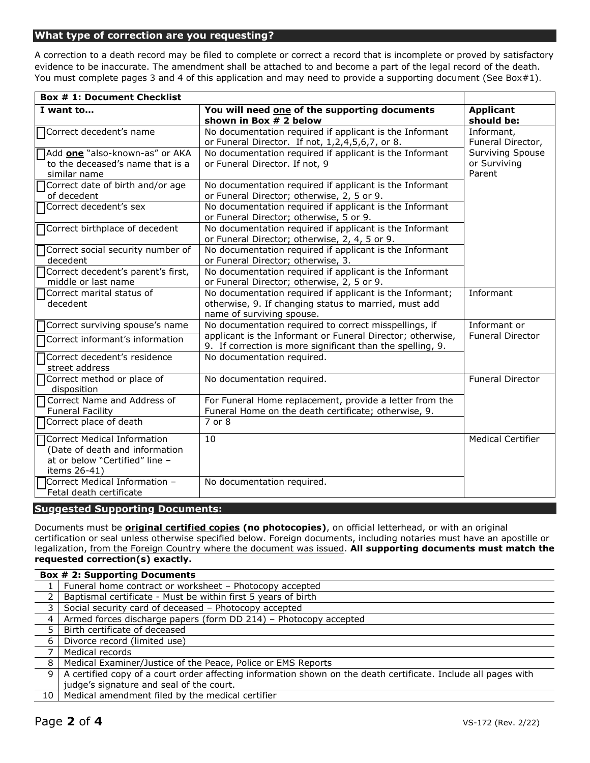### **What type of correction are you requesting?**

A correction to a death record may be filed to complete or correct a record that is incomplete or proved by satisfactory evidence to be inaccurate. The amendment shall be attached to and become a part of the legal record of the death. You must complete pages 3 and 4 of this application and may need to provide a supporting document (See Box#1).

| <b>Box # 1: Document Checklist</b>                                                                                |                                                                                                                          |                                |
|-------------------------------------------------------------------------------------------------------------------|--------------------------------------------------------------------------------------------------------------------------|--------------------------------|
| I want to                                                                                                         | You will need one of the supporting documents<br>shown in Box # 2 below                                                  | <b>Applicant</b><br>should be: |
| Correct decedent's name                                                                                           | No documentation required if applicant is the Informant                                                                  | Informant,                     |
|                                                                                                                   | or Funeral Director. If not, 1,2,4,5,6,7, or 8.                                                                          | Funeral Director,              |
| Add one "also-known-as" or AKA                                                                                    | No documentation required if applicant is the Informant                                                                  | <b>Surviving Spouse</b>        |
| to the deceased's name that is a<br>similar name                                                                  | or Funeral Director. If not, 9                                                                                           | or Surviving<br>Parent         |
| Correct date of birth and/or age<br>of decedent                                                                   | No documentation required if applicant is the Informant                                                                  |                                |
| Correct decedent's sex                                                                                            | or Funeral Director; otherwise, 2, 5 or 9.<br>No documentation required if applicant is the Informant                    |                                |
|                                                                                                                   | or Funeral Director; otherwise, 5 or 9.                                                                                  |                                |
| Correct birthplace of decedent                                                                                    | No documentation required if applicant is the Informant<br>or Funeral Director; otherwise, 2, 4, 5 or 9.                 |                                |
| Correct social security number of<br>decedent                                                                     | No documentation required if applicant is the Informant<br>or Funeral Director; otherwise, 3.                            |                                |
| Correct decedent's parent's first,                                                                                | No documentation required if applicant is the Informant                                                                  |                                |
| middle or last name                                                                                               | or Funeral Director; otherwise, 2, 5 or 9.                                                                               |                                |
| Correct marital status of                                                                                         | No documentation required if applicant is the Informant;                                                                 | Informant                      |
| decedent                                                                                                          | otherwise, 9. If changing status to married, must add                                                                    |                                |
|                                                                                                                   | name of surviving spouse.                                                                                                |                                |
| Correct surviving spouse's name                                                                                   | No documentation required to correct misspellings, if                                                                    | Informant or                   |
| Correct informant's information                                                                                   | applicant is the Informant or Funeral Director; otherwise,<br>9. If correction is more significant than the spelling, 9. | <b>Funeral Director</b>        |
| Correct decedent's residence<br>street address                                                                    | No documentation required.                                                                                               |                                |
| Correct method or place of<br>disposition                                                                         | No documentation required.                                                                                               | <b>Funeral Director</b>        |
| Correct Name and Address of                                                                                       | For Funeral Home replacement, provide a letter from the                                                                  |                                |
| <b>Funeral Facility</b>                                                                                           | Funeral Home on the death certificate; otherwise, 9.                                                                     |                                |
| Correct place of death                                                                                            | 7 or 8                                                                                                                   |                                |
| □ Correct Medical Information<br>(Date of death and information<br>at or below "Certified" line -<br>items 26-41) | 10                                                                                                                       | <b>Medical Certifier</b>       |
| Correct Medical Information -<br>Fetal death certificate                                                          | No documentation required.                                                                                               |                                |

### **Suggested Supporting Documents:**

Documents must be **original certified copies (no photocopies)**, on official letterhead, or with an original certification or seal unless otherwise specified below. Foreign documents, including notaries must have an apostille or legalization, from the Foreign Country where the document was issued. **All supporting documents must match the requested correction(s) exactly.** 

|                | <b>Box # 2: Supporting Documents</b>                                                                           |
|----------------|----------------------------------------------------------------------------------------------------------------|
|                | Funeral home contract or worksheet - Photocopy accepted                                                        |
|                | Baptismal certificate - Must be within first 5 years of birth                                                  |
| 3              | Social security card of deceased - Photocopy accepted                                                          |
| 4              | Armed forces discharge papers (form DD 214) - Photocopy accepted                                               |
| 5              | Birth certificate of deceased                                                                                  |
| 6              | Divorce record (limited use)                                                                                   |
| $\overline{ }$ | Medical records                                                                                                |
| 8              | Medical Examiner/Justice of the Peace, Police or EMS Reports                                                   |
| 9              | A certified copy of a court order affecting information shown on the death certificate. Include all pages with |
|                | judge's signature and seal of the court.                                                                       |
| 10             | Medical amendment filed by the medical certifier                                                               |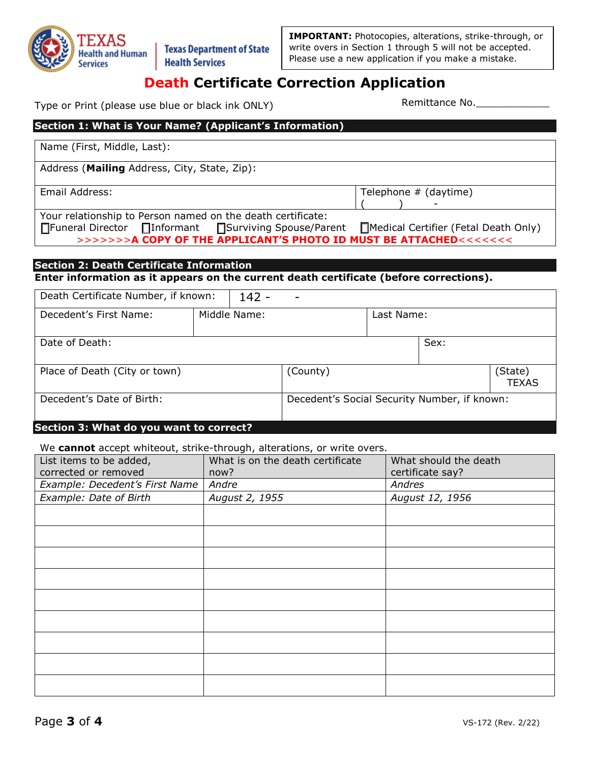

**IMPORTANT:** Photocopies, alterations, strike-through, or write overs in Section 1 through 5 will not be accepted. Please use a new application if you make a mistake.

# **Death Certificate Correction Application**

Type or Print (please use blue or black ink ONLY) Type or Print Remittance No.

# **Section 1: What is Your Name? (Applicant's Information)**  Name (First, Middle, Last): Address (**Mailing** Address, City, State, Zip): Email Address: Telephone # (daytime) ( ) - Your relationship to Person named on the death certificate: ☐Funeral Director ☐Informant ☐Surviving Spouse/Parent ☐Medical Certifier (Fetal Death Only) >>>>>>>**A COPY OF THE APPLICANT'S PHOTO ID MUST BE ATTACHED**<<<<<<<

# **Section 2: Death Certificate Information**

**Enter information as it appears on the current death certificate (before corrections).** 

| Death Certificate Number, if known: |  | $142 -$                                      | ۰        |            |      |                         |
|-------------------------------------|--|----------------------------------------------|----------|------------|------|-------------------------|
| Decedent's First Name:              |  | Middle Name:                                 |          | Last Name: |      |                         |
| Date of Death:                      |  |                                              |          |            | Sex: |                         |
| Place of Death (City or town)       |  |                                              | (County) |            |      | (State)<br><b>TEXAS</b> |
| Decedent's Date of Birth:           |  | Decedent's Social Security Number, if known: |          |            |      |                         |

# **Section 3: What do you want to correct?**

We **cannot** accept whiteout, strike-through, alterations, or write overs.

| List items to be added,<br>corrected or removed | What is on the death certificate<br>now? | What should the death<br>certificate say? |
|-------------------------------------------------|------------------------------------------|-------------------------------------------|
| Example: Decedent's First Name                  | Andre                                    | Andres                                    |
| Example: Date of Birth                          | August 2, 1955                           | August 12, 1956                           |
|                                                 |                                          |                                           |
|                                                 |                                          |                                           |
|                                                 |                                          |                                           |
|                                                 |                                          |                                           |
|                                                 |                                          |                                           |
|                                                 |                                          |                                           |
|                                                 |                                          |                                           |
|                                                 |                                          |                                           |
|                                                 |                                          |                                           |